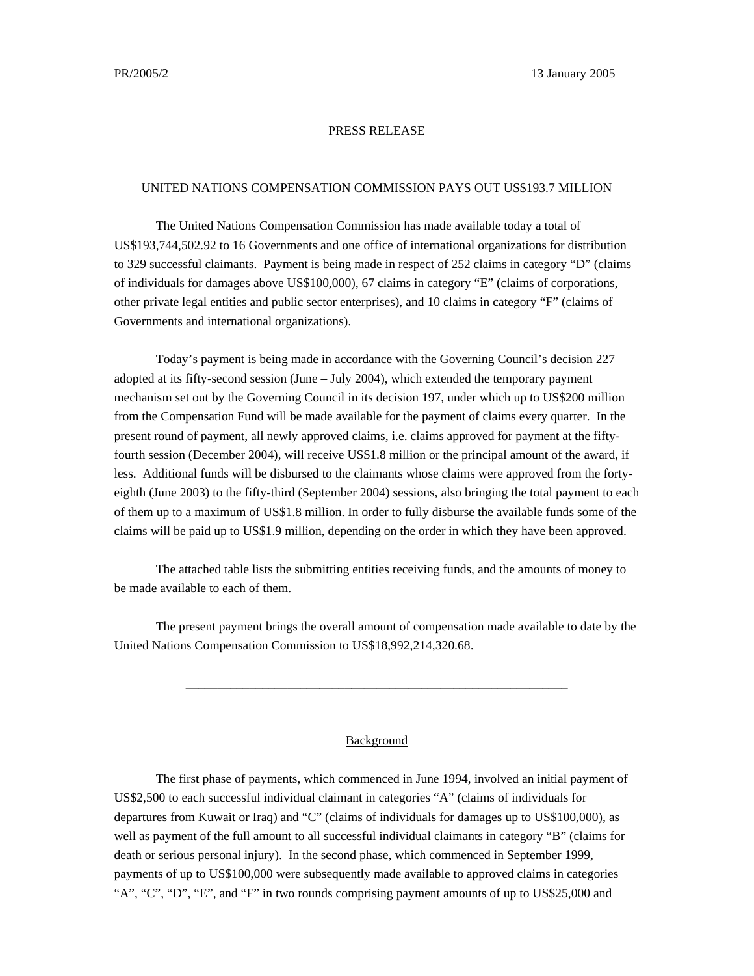## PRESS RELEASE

## UNITED NATIONS COMPENSATION COMMISSION PAYS OUT US\$193.7 MILLION

The United Nations Compensation Commission has made available today a total of US\$193,744,502.92 to 16 Governments and one office of international organizations for distribution to 329 successful claimants. Payment is being made in respect of 252 claims in category "D" (claims of individuals for damages above US\$100,000), 67 claims in category "E" (claims of corporations, other private legal entities and public sector enterprises), and 10 claims in category "F" (claims of Governments and international organizations).

Today's payment is being made in accordance with the Governing Council's decision 227 adopted at its fifty-second session (June – July 2004), which extended the temporary payment mechanism set out by the Governing Council in its decision 197, under which up to US\$200 million from the Compensation Fund will be made available for the payment of claims every quarter. In the present round of payment, all newly approved claims, i.e. claims approved for payment at the fiftyfourth session (December 2004), will receive US\$1.8 million or the principal amount of the award, if less. Additional funds will be disbursed to the claimants whose claims were approved from the fortyeighth (June 2003) to the fifty-third (September 2004) sessions, also bringing the total payment to each of them up to a maximum of US\$1.8 million. In order to fully disburse the available funds some of the claims will be paid up to US\$1.9 million, depending on the order in which they have been approved.

The attached table lists the submitting entities receiving funds, and the amounts of money to be made available to each of them.

The present payment brings the overall amount of compensation made available to date by the United Nations Compensation Commission to US\$18,992,214,320.68.

\_\_\_\_\_\_\_\_\_\_\_\_\_\_\_\_\_\_\_\_\_\_\_\_\_\_\_\_\_\_\_\_\_\_\_\_\_\_\_\_\_\_\_\_\_\_\_\_\_\_\_\_\_\_\_\_\_\_\_\_

## Background

The first phase of payments, which commenced in June 1994, involved an initial payment of US\$2,500 to each successful individual claimant in categories "A" (claims of individuals for departures from Kuwait or Iraq) and "C" (claims of individuals for damages up to US\$100,000), as well as payment of the full amount to all successful individual claimants in category "B" (claims for death or serious personal injury). In the second phase, which commenced in September 1999, payments of up to US\$100,000 were subsequently made available to approved claims in categories "A", "C", "D", "E", and "F" in two rounds comprising payment amounts of up to US\$25,000 and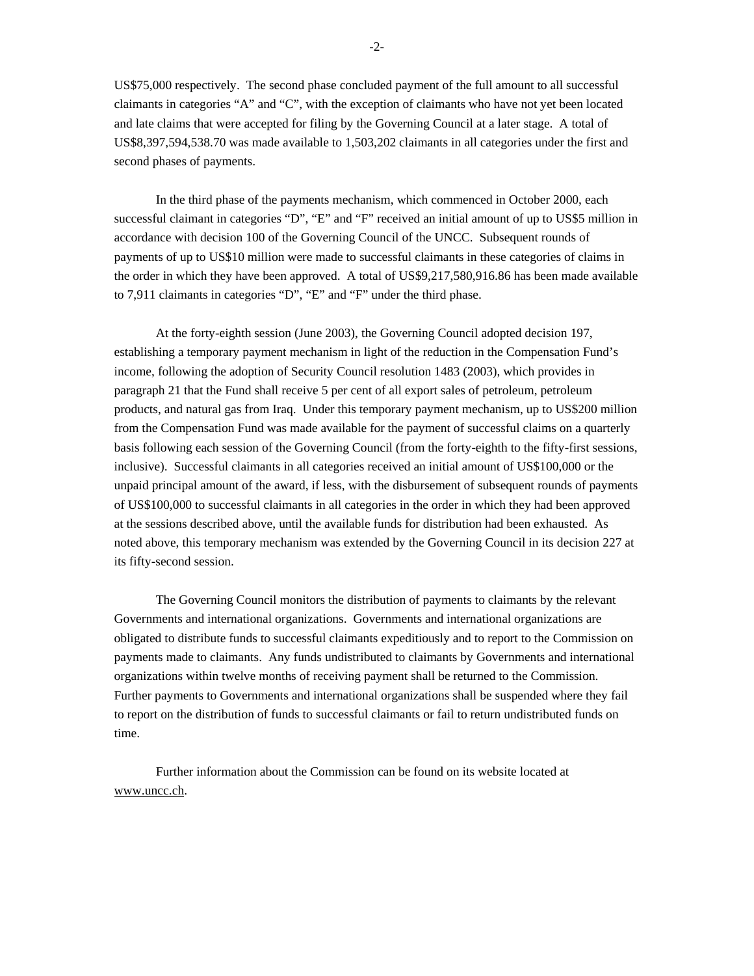US\$75,000 respectively. The second phase concluded payment of the full amount to all successful claimants in categories "A" and "C", with the exception of claimants who have not yet been located and late claims that were accepted for filing by the Governing Council at a later stage. A total of US\$8,397,594,538.70 was made available to 1,503,202 claimants in all categories under the first and second phases of payments.

In the third phase of the payments mechanism, which commenced in October 2000, each successful claimant in categories "D", "E" and "F" received an initial amount of up to US\$5 million in accordance with decision 100 of the Governing Council of the UNCC. Subsequent rounds of payments of up to US\$10 million were made to successful claimants in these categories of claims in the order in which they have been approved. A total of US\$9,217,580,916.86 has been made available to 7,911 claimants in categories "D", "E" and "F" under the third phase.

At the forty-eighth session (June 2003), the Governing Council adopted decision 197, establishing a temporary payment mechanism in light of the reduction in the Compensation Fund's income, following the adoption of Security Council resolution 1483 (2003), which provides in paragraph 21 that the Fund shall receive 5 per cent of all export sales of petroleum, petroleum products, and natural gas from Iraq. Under this temporary payment mechanism, up to US\$200 million from the Compensation Fund was made available for the payment of successful claims on a quarterly basis following each session of the Governing Council (from the forty-eighth to the fifty-first sessions, inclusive). Successful claimants in all categories received an initial amount of US\$100,000 or the unpaid principal amount of the award, if less, with the disbursement of subsequent rounds of payments of US\$100,000 to successful claimants in all categories in the order in which they had been approved at the sessions described above, until the available funds for distribution had been exhausted. As noted above, this temporary mechanism was extended by the Governing Council in its decision 227 at its fifty-second session.

The Governing Council monitors the distribution of payments to claimants by the relevant Governments and international organizations. Governments and international organizations are obligated to distribute funds to successful claimants expeditiously and to report to the Commission on payments made to claimants. Any funds undistributed to claimants by Governments and international organizations within twelve months of receiving payment shall be returned to the Commission. Further payments to Governments and international organizations shall be suspended where they fail to report on the distribution of funds to successful claimants or fail to return undistributed funds on time.

Further information about the Commission can be found on its website located at www.uncc.ch.